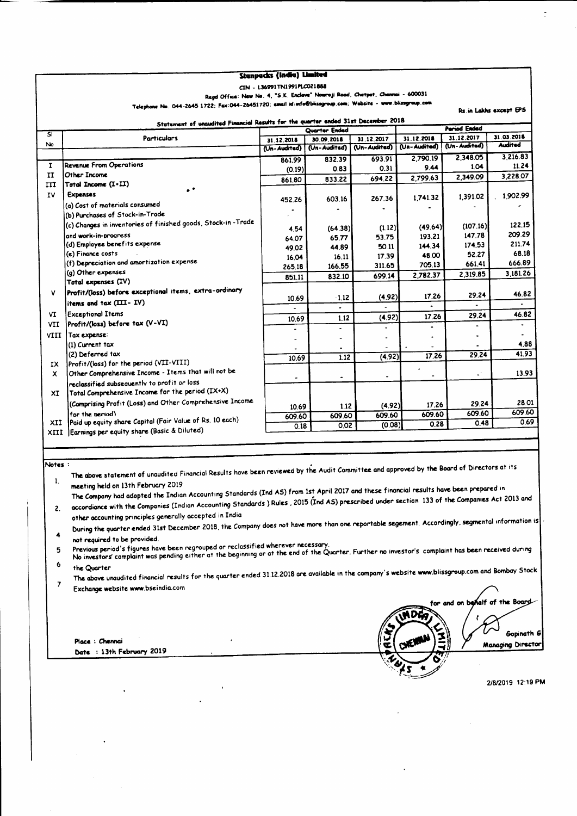| CIN - L36991TN1991PLC021888<br>Regd Office: New No. 4, "S.K. Enclave" Nowroji Road, Chetpet, Chennai - 600031<br>Telephone No. 044-2645 1722; Fax:044-26451720; email id:info@blissgroup.com; Website - www.blissgroup.com<br>Rs.in Lakhs except EPS<br>Statement of unaudited Financial Results for the quarter ended 31st December 2018<br><b>Period Ended</b><br>Quarter Ended<br>SI<br>31.12.2017<br>Particulars<br>31.12.2018<br>31.12.2017<br>30.09.2018<br>31.12.2018<br>No<br>(Un-Audited)<br>(Un-Audited)<br>(Un-Audited)<br>(Un-Audited)<br>(Un-Audited)<br>2,348.05<br>2,790.19<br>693.91<br>832.39<br>861.99<br><b>Revenue From Operations</b><br>1<br>1.04<br>9.44<br>0.31<br>0.83<br>(0.19)<br>Other Income<br>II<br>2,349.09<br>2,799.63<br>694.22<br>833.22<br>861.80<br>$\mathsf{T}$ otal Income $(\mathbf{I} \cdot \mathbf{II})$<br>ш<br>$\bullet$ $\bullet$<br><b>Expenses</b><br>IV.<br>1,391.02<br>1,741.32<br>267.36<br>603.16<br>452.26<br>(a) Cost of materials consumed<br>٠<br>٠<br>(b) Purchases of Stock-in-Trade<br>(c) Changes in inventories of finished goods, Stock-in -Trade<br>(107.16)<br>(49.64)<br>(1.12)<br>(64.38)<br>4.54<br>147.78<br>and work-in-progress<br>193.21<br>53.75<br>65.77<br>64.07<br>(d) Employee benefits expense<br>174.53<br>144.34<br>50.11<br>44.89<br>49.02<br>(e) Finance costs<br>52.27<br>48.00<br>17.39<br>16.11<br>16.04<br>(f) Depreciation and amortization expense<br>661.41<br>705.13<br>311.65<br>166.55<br>265.18<br>(g) Other expenses<br>2.319.85<br>2,782.37<br>699.14<br>832.10<br>851.11<br>Total expenses (IV)<br>Profit/(loss) before exceptional items, extra-ordinary<br>۷<br>29.24<br>17.26<br>(4.92)<br>$-1.12$<br>10.69<br>items and tax (III-IV)<br>٠<br>٠<br><b>Exceptional Items</b><br>VI.<br>29.24<br>17.26<br>(4.92)<br>1.12<br>10.69<br>Profit/(loss) before tax (V-VI)<br><b>VII</b><br>$\blacksquare$<br>$\overline{\phantom{0}}$<br>$\blacksquare$<br>$\qquad \qquad \blacksquare$<br><b>VIII</b><br>Tax expense:<br>$\bullet$<br>(1) Current tax<br>٠<br>$\bullet$<br>(2) Deferred tax<br>29.24<br>17.26<br>(4.92)<br>1.12<br>10.69<br>Profit/(loss) for the period (VII-VIII)<br>IX.<br>Other Comprehensive Income - Items that will not be<br>$\omega^+$<br>x.<br>٠<br>$\bullet$<br>$\tilde{\phantom{a}}$<br>reclassified subsequently to profit or loss<br>Total Comprehensive Income for the period (IX+X)<br>XI<br>(Comprising Profit (Loss) and Other Comprehensive Income<br>29.24<br>17.26<br>(4.92)<br>1.12<br>10.69<br>609.60<br>for the period)<br>609.60<br>609.60<br>609.60<br>609.60<br>Paid up equity share Capital (Fair Value of Rs. 10 each)<br>XII.<br>0.48<br>0.28<br>(0.08)<br>0.02<br>0.18<br>Earnings per equity share (Basic & Diluted)<br>XIII<br>Notes:<br>The above statement of unaudited Financial Results have been reviewed by the Audit Committee and approved by the Board of Directors at its<br>$\mathbf{1}$<br>meeting held on 13th February 2019<br>The Company had adopted the Indian Accounting Standards (Ind AS) from 1st April 2017 and these financial results have been prepared in<br>accordiance with the Companies (Indian Accounting Standards ) Rules , 2015 (Ind AS) prescribed under section 133 of the Companies Act 2013 and<br>2.<br>other accounting principles generally accepted in India<br>During the quarter ended 31st December 2018, the Company does not have more than one reportable segement. Accordingly, segmental information is<br>4<br>not required to be provided.<br>Previous period's figures have been regrouped or reclassified wherever necessary.<br>No investors complaint was pending either at the beginning or at the end of the Quarter. Further no investor's complaint has been received during<br>5<br>6<br>the Quarter<br>The above unaudited financial results for the quarter ended 31.12.2018 are available in the company's website www.blissgroup.com and Bombay Stock<br>7<br>Exchange website www.bseindia.com<br>for and on behalf of the Board<br><b>MDG</b><br>ACK<br>Place : Chennai<br>$c_{\mathcal{W}}$<br>Date: 13th February 2019 |  |  | Stanpacks (India) Limited |  |  |            |  |                   |
|-----------------------------------------------------------------------------------------------------------------------------------------------------------------------------------------------------------------------------------------------------------------------------------------------------------------------------------------------------------------------------------------------------------------------------------------------------------------------------------------------------------------------------------------------------------------------------------------------------------------------------------------------------------------------------------------------------------------------------------------------------------------------------------------------------------------------------------------------------------------------------------------------------------------------------------------------------------------------------------------------------------------------------------------------------------------------------------------------------------------------------------------------------------------------------------------------------------------------------------------------------------------------------------------------------------------------------------------------------------------------------------------------------------------------------------------------------------------------------------------------------------------------------------------------------------------------------------------------------------------------------------------------------------------------------------------------------------------------------------------------------------------------------------------------------------------------------------------------------------------------------------------------------------------------------------------------------------------------------------------------------------------------------------------------------------------------------------------------------------------------------------------------------------------------------------------------------------------------------------------------------------------------------------------------------------------------------------------------------------------------------------------------------------------------------------------------------------------------------------------------------------------------------------------------------------------------------------------------------------------------------------------------------------------------------------------------------------------------------------------------------------------------------------------------------------------------------------------------------------------------------------------------------------------------------------------------------------------------------------------------------------------------------------------------------------------------------------------------------------------------------------------------------------------------------------------------------------------------------------------------------------------------------------------------------------------------------------------------------------------------------------------------------------------------------------------------------------------------------------------------------------------------------------------------------------------------------------------------------------------------------------------------------------------------------------------------------------------------------------------------------------------------------------------------------------------------------------------------------------------------------------------------------------------------------------------------------------------------------------------------------------------------------------------------------------------------------------------------------------------------------------------|--|--|---------------------------|--|--|------------|--|-------------------|
|                                                                                                                                                                                                                                                                                                                                                                                                                                                                                                                                                                                                                                                                                                                                                                                                                                                                                                                                                                                                                                                                                                                                                                                                                                                                                                                                                                                                                                                                                                                                                                                                                                                                                                                                                                                                                                                                                                                                                                                                                                                                                                                                                                                                                                                                                                                                                                                                                                                                                                                                                                                                                                                                                                                                                                                                                                                                                                                                                                                                                                                                                                                                                                                                                                                                                                                                                                                                                                                                                                                                                                                                                                                                                                                                                                                                                                                                                                                                                                                                                                                                                                                                         |  |  |                           |  |  |            |  |                   |
|                                                                                                                                                                                                                                                                                                                                                                                                                                                                                                                                                                                                                                                                                                                                                                                                                                                                                                                                                                                                                                                                                                                                                                                                                                                                                                                                                                                                                                                                                                                                                                                                                                                                                                                                                                                                                                                                                                                                                                                                                                                                                                                                                                                                                                                                                                                                                                                                                                                                                                                                                                                                                                                                                                                                                                                                                                                                                                                                                                                                                                                                                                                                                                                                                                                                                                                                                                                                                                                                                                                                                                                                                                                                                                                                                                                                                                                                                                                                                                                                                                                                                                                                         |  |  |                           |  |  |            |  |                   |
|                                                                                                                                                                                                                                                                                                                                                                                                                                                                                                                                                                                                                                                                                                                                                                                                                                                                                                                                                                                                                                                                                                                                                                                                                                                                                                                                                                                                                                                                                                                                                                                                                                                                                                                                                                                                                                                                                                                                                                                                                                                                                                                                                                                                                                                                                                                                                                                                                                                                                                                                                                                                                                                                                                                                                                                                                                                                                                                                                                                                                                                                                                                                                                                                                                                                                                                                                                                                                                                                                                                                                                                                                                                                                                                                                                                                                                                                                                                                                                                                                                                                                                                                         |  |  |                           |  |  |            |  |                   |
|                                                                                                                                                                                                                                                                                                                                                                                                                                                                                                                                                                                                                                                                                                                                                                                                                                                                                                                                                                                                                                                                                                                                                                                                                                                                                                                                                                                                                                                                                                                                                                                                                                                                                                                                                                                                                                                                                                                                                                                                                                                                                                                                                                                                                                                                                                                                                                                                                                                                                                                                                                                                                                                                                                                                                                                                                                                                                                                                                                                                                                                                                                                                                                                                                                                                                                                                                                                                                                                                                                                                                                                                                                                                                                                                                                                                                                                                                                                                                                                                                                                                                                                                         |  |  |                           |  |  |            |  |                   |
|                                                                                                                                                                                                                                                                                                                                                                                                                                                                                                                                                                                                                                                                                                                                                                                                                                                                                                                                                                                                                                                                                                                                                                                                                                                                                                                                                                                                                                                                                                                                                                                                                                                                                                                                                                                                                                                                                                                                                                                                                                                                                                                                                                                                                                                                                                                                                                                                                                                                                                                                                                                                                                                                                                                                                                                                                                                                                                                                                                                                                                                                                                                                                                                                                                                                                                                                                                                                                                                                                                                                                                                                                                                                                                                                                                                                                                                                                                                                                                                                                                                                                                                                         |  |  |                           |  |  | 31.03.2018 |  |                   |
|                                                                                                                                                                                                                                                                                                                                                                                                                                                                                                                                                                                                                                                                                                                                                                                                                                                                                                                                                                                                                                                                                                                                                                                                                                                                                                                                                                                                                                                                                                                                                                                                                                                                                                                                                                                                                                                                                                                                                                                                                                                                                                                                                                                                                                                                                                                                                                                                                                                                                                                                                                                                                                                                                                                                                                                                                                                                                                                                                                                                                                                                                                                                                                                                                                                                                                                                                                                                                                                                                                                                                                                                                                                                                                                                                                                                                                                                                                                                                                                                                                                                                                                                         |  |  |                           |  |  |            |  | <b>Audited</b>    |
|                                                                                                                                                                                                                                                                                                                                                                                                                                                                                                                                                                                                                                                                                                                                                                                                                                                                                                                                                                                                                                                                                                                                                                                                                                                                                                                                                                                                                                                                                                                                                                                                                                                                                                                                                                                                                                                                                                                                                                                                                                                                                                                                                                                                                                                                                                                                                                                                                                                                                                                                                                                                                                                                                                                                                                                                                                                                                                                                                                                                                                                                                                                                                                                                                                                                                                                                                                                                                                                                                                                                                                                                                                                                                                                                                                                                                                                                                                                                                                                                                                                                                                                                         |  |  |                           |  |  |            |  | 3,216.83          |
|                                                                                                                                                                                                                                                                                                                                                                                                                                                                                                                                                                                                                                                                                                                                                                                                                                                                                                                                                                                                                                                                                                                                                                                                                                                                                                                                                                                                                                                                                                                                                                                                                                                                                                                                                                                                                                                                                                                                                                                                                                                                                                                                                                                                                                                                                                                                                                                                                                                                                                                                                                                                                                                                                                                                                                                                                                                                                                                                                                                                                                                                                                                                                                                                                                                                                                                                                                                                                                                                                                                                                                                                                                                                                                                                                                                                                                                                                                                                                                                                                                                                                                                                         |  |  |                           |  |  |            |  | 11.24             |
|                                                                                                                                                                                                                                                                                                                                                                                                                                                                                                                                                                                                                                                                                                                                                                                                                                                                                                                                                                                                                                                                                                                                                                                                                                                                                                                                                                                                                                                                                                                                                                                                                                                                                                                                                                                                                                                                                                                                                                                                                                                                                                                                                                                                                                                                                                                                                                                                                                                                                                                                                                                                                                                                                                                                                                                                                                                                                                                                                                                                                                                                                                                                                                                                                                                                                                                                                                                                                                                                                                                                                                                                                                                                                                                                                                                                                                                                                                                                                                                                                                                                                                                                         |  |  |                           |  |  |            |  | 3,228.07          |
|                                                                                                                                                                                                                                                                                                                                                                                                                                                                                                                                                                                                                                                                                                                                                                                                                                                                                                                                                                                                                                                                                                                                                                                                                                                                                                                                                                                                                                                                                                                                                                                                                                                                                                                                                                                                                                                                                                                                                                                                                                                                                                                                                                                                                                                                                                                                                                                                                                                                                                                                                                                                                                                                                                                                                                                                                                                                                                                                                                                                                                                                                                                                                                                                                                                                                                                                                                                                                                                                                                                                                                                                                                                                                                                                                                                                                                                                                                                                                                                                                                                                                                                                         |  |  |                           |  |  |            |  |                   |
|                                                                                                                                                                                                                                                                                                                                                                                                                                                                                                                                                                                                                                                                                                                                                                                                                                                                                                                                                                                                                                                                                                                                                                                                                                                                                                                                                                                                                                                                                                                                                                                                                                                                                                                                                                                                                                                                                                                                                                                                                                                                                                                                                                                                                                                                                                                                                                                                                                                                                                                                                                                                                                                                                                                                                                                                                                                                                                                                                                                                                                                                                                                                                                                                                                                                                                                                                                                                                                                                                                                                                                                                                                                                                                                                                                                                                                                                                                                                                                                                                                                                                                                                         |  |  |                           |  |  |            |  | 1,902.99          |
|                                                                                                                                                                                                                                                                                                                                                                                                                                                                                                                                                                                                                                                                                                                                                                                                                                                                                                                                                                                                                                                                                                                                                                                                                                                                                                                                                                                                                                                                                                                                                                                                                                                                                                                                                                                                                                                                                                                                                                                                                                                                                                                                                                                                                                                                                                                                                                                                                                                                                                                                                                                                                                                                                                                                                                                                                                                                                                                                                                                                                                                                                                                                                                                                                                                                                                                                                                                                                                                                                                                                                                                                                                                                                                                                                                                                                                                                                                                                                                                                                                                                                                                                         |  |  |                           |  |  |            |  |                   |
|                                                                                                                                                                                                                                                                                                                                                                                                                                                                                                                                                                                                                                                                                                                                                                                                                                                                                                                                                                                                                                                                                                                                                                                                                                                                                                                                                                                                                                                                                                                                                                                                                                                                                                                                                                                                                                                                                                                                                                                                                                                                                                                                                                                                                                                                                                                                                                                                                                                                                                                                                                                                                                                                                                                                                                                                                                                                                                                                                                                                                                                                                                                                                                                                                                                                                                                                                                                                                                                                                                                                                                                                                                                                                                                                                                                                                                                                                                                                                                                                                                                                                                                                         |  |  |                           |  |  |            |  |                   |
|                                                                                                                                                                                                                                                                                                                                                                                                                                                                                                                                                                                                                                                                                                                                                                                                                                                                                                                                                                                                                                                                                                                                                                                                                                                                                                                                                                                                                                                                                                                                                                                                                                                                                                                                                                                                                                                                                                                                                                                                                                                                                                                                                                                                                                                                                                                                                                                                                                                                                                                                                                                                                                                                                                                                                                                                                                                                                                                                                                                                                                                                                                                                                                                                                                                                                                                                                                                                                                                                                                                                                                                                                                                                                                                                                                                                                                                                                                                                                                                                                                                                                                                                         |  |  |                           |  |  |            |  | 122.15            |
|                                                                                                                                                                                                                                                                                                                                                                                                                                                                                                                                                                                                                                                                                                                                                                                                                                                                                                                                                                                                                                                                                                                                                                                                                                                                                                                                                                                                                                                                                                                                                                                                                                                                                                                                                                                                                                                                                                                                                                                                                                                                                                                                                                                                                                                                                                                                                                                                                                                                                                                                                                                                                                                                                                                                                                                                                                                                                                                                                                                                                                                                                                                                                                                                                                                                                                                                                                                                                                                                                                                                                                                                                                                                                                                                                                                                                                                                                                                                                                                                                                                                                                                                         |  |  |                           |  |  |            |  | 209.29<br>211.74  |
|                                                                                                                                                                                                                                                                                                                                                                                                                                                                                                                                                                                                                                                                                                                                                                                                                                                                                                                                                                                                                                                                                                                                                                                                                                                                                                                                                                                                                                                                                                                                                                                                                                                                                                                                                                                                                                                                                                                                                                                                                                                                                                                                                                                                                                                                                                                                                                                                                                                                                                                                                                                                                                                                                                                                                                                                                                                                                                                                                                                                                                                                                                                                                                                                                                                                                                                                                                                                                                                                                                                                                                                                                                                                                                                                                                                                                                                                                                                                                                                                                                                                                                                                         |  |  |                           |  |  |            |  | 68.18             |
|                                                                                                                                                                                                                                                                                                                                                                                                                                                                                                                                                                                                                                                                                                                                                                                                                                                                                                                                                                                                                                                                                                                                                                                                                                                                                                                                                                                                                                                                                                                                                                                                                                                                                                                                                                                                                                                                                                                                                                                                                                                                                                                                                                                                                                                                                                                                                                                                                                                                                                                                                                                                                                                                                                                                                                                                                                                                                                                                                                                                                                                                                                                                                                                                                                                                                                                                                                                                                                                                                                                                                                                                                                                                                                                                                                                                                                                                                                                                                                                                                                                                                                                                         |  |  |                           |  |  |            |  | 666.89            |
|                                                                                                                                                                                                                                                                                                                                                                                                                                                                                                                                                                                                                                                                                                                                                                                                                                                                                                                                                                                                                                                                                                                                                                                                                                                                                                                                                                                                                                                                                                                                                                                                                                                                                                                                                                                                                                                                                                                                                                                                                                                                                                                                                                                                                                                                                                                                                                                                                                                                                                                                                                                                                                                                                                                                                                                                                                                                                                                                                                                                                                                                                                                                                                                                                                                                                                                                                                                                                                                                                                                                                                                                                                                                                                                                                                                                                                                                                                                                                                                                                                                                                                                                         |  |  |                           |  |  |            |  | 3,181.26          |
|                                                                                                                                                                                                                                                                                                                                                                                                                                                                                                                                                                                                                                                                                                                                                                                                                                                                                                                                                                                                                                                                                                                                                                                                                                                                                                                                                                                                                                                                                                                                                                                                                                                                                                                                                                                                                                                                                                                                                                                                                                                                                                                                                                                                                                                                                                                                                                                                                                                                                                                                                                                                                                                                                                                                                                                                                                                                                                                                                                                                                                                                                                                                                                                                                                                                                                                                                                                                                                                                                                                                                                                                                                                                                                                                                                                                                                                                                                                                                                                                                                                                                                                                         |  |  |                           |  |  |            |  |                   |
|                                                                                                                                                                                                                                                                                                                                                                                                                                                                                                                                                                                                                                                                                                                                                                                                                                                                                                                                                                                                                                                                                                                                                                                                                                                                                                                                                                                                                                                                                                                                                                                                                                                                                                                                                                                                                                                                                                                                                                                                                                                                                                                                                                                                                                                                                                                                                                                                                                                                                                                                                                                                                                                                                                                                                                                                                                                                                                                                                                                                                                                                                                                                                                                                                                                                                                                                                                                                                                                                                                                                                                                                                                                                                                                                                                                                                                                                                                                                                                                                                                                                                                                                         |  |  |                           |  |  |            |  | 46.82             |
|                                                                                                                                                                                                                                                                                                                                                                                                                                                                                                                                                                                                                                                                                                                                                                                                                                                                                                                                                                                                                                                                                                                                                                                                                                                                                                                                                                                                                                                                                                                                                                                                                                                                                                                                                                                                                                                                                                                                                                                                                                                                                                                                                                                                                                                                                                                                                                                                                                                                                                                                                                                                                                                                                                                                                                                                                                                                                                                                                                                                                                                                                                                                                                                                                                                                                                                                                                                                                                                                                                                                                                                                                                                                                                                                                                                                                                                                                                                                                                                                                                                                                                                                         |  |  |                           |  |  |            |  |                   |
|                                                                                                                                                                                                                                                                                                                                                                                                                                                                                                                                                                                                                                                                                                                                                                                                                                                                                                                                                                                                                                                                                                                                                                                                                                                                                                                                                                                                                                                                                                                                                                                                                                                                                                                                                                                                                                                                                                                                                                                                                                                                                                                                                                                                                                                                                                                                                                                                                                                                                                                                                                                                                                                                                                                                                                                                                                                                                                                                                                                                                                                                                                                                                                                                                                                                                                                                                                                                                                                                                                                                                                                                                                                                                                                                                                                                                                                                                                                                                                                                                                                                                                                                         |  |  |                           |  |  |            |  | 46.82             |
|                                                                                                                                                                                                                                                                                                                                                                                                                                                                                                                                                                                                                                                                                                                                                                                                                                                                                                                                                                                                                                                                                                                                                                                                                                                                                                                                                                                                                                                                                                                                                                                                                                                                                                                                                                                                                                                                                                                                                                                                                                                                                                                                                                                                                                                                                                                                                                                                                                                                                                                                                                                                                                                                                                                                                                                                                                                                                                                                                                                                                                                                                                                                                                                                                                                                                                                                                                                                                                                                                                                                                                                                                                                                                                                                                                                                                                                                                                                                                                                                                                                                                                                                         |  |  |                           |  |  |            |  | $\bullet$         |
|                                                                                                                                                                                                                                                                                                                                                                                                                                                                                                                                                                                                                                                                                                                                                                                                                                                                                                                                                                                                                                                                                                                                                                                                                                                                                                                                                                                                                                                                                                                                                                                                                                                                                                                                                                                                                                                                                                                                                                                                                                                                                                                                                                                                                                                                                                                                                                                                                                                                                                                                                                                                                                                                                                                                                                                                                                                                                                                                                                                                                                                                                                                                                                                                                                                                                                                                                                                                                                                                                                                                                                                                                                                                                                                                                                                                                                                                                                                                                                                                                                                                                                                                         |  |  |                           |  |  |            |  |                   |
|                                                                                                                                                                                                                                                                                                                                                                                                                                                                                                                                                                                                                                                                                                                                                                                                                                                                                                                                                                                                                                                                                                                                                                                                                                                                                                                                                                                                                                                                                                                                                                                                                                                                                                                                                                                                                                                                                                                                                                                                                                                                                                                                                                                                                                                                                                                                                                                                                                                                                                                                                                                                                                                                                                                                                                                                                                                                                                                                                                                                                                                                                                                                                                                                                                                                                                                                                                                                                                                                                                                                                                                                                                                                                                                                                                                                                                                                                                                                                                                                                                                                                                                                         |  |  |                           |  |  |            |  | 4.88              |
|                                                                                                                                                                                                                                                                                                                                                                                                                                                                                                                                                                                                                                                                                                                                                                                                                                                                                                                                                                                                                                                                                                                                                                                                                                                                                                                                                                                                                                                                                                                                                                                                                                                                                                                                                                                                                                                                                                                                                                                                                                                                                                                                                                                                                                                                                                                                                                                                                                                                                                                                                                                                                                                                                                                                                                                                                                                                                                                                                                                                                                                                                                                                                                                                                                                                                                                                                                                                                                                                                                                                                                                                                                                                                                                                                                                                                                                                                                                                                                                                                                                                                                                                         |  |  |                           |  |  |            |  | 41.93             |
|                                                                                                                                                                                                                                                                                                                                                                                                                                                                                                                                                                                                                                                                                                                                                                                                                                                                                                                                                                                                                                                                                                                                                                                                                                                                                                                                                                                                                                                                                                                                                                                                                                                                                                                                                                                                                                                                                                                                                                                                                                                                                                                                                                                                                                                                                                                                                                                                                                                                                                                                                                                                                                                                                                                                                                                                                                                                                                                                                                                                                                                                                                                                                                                                                                                                                                                                                                                                                                                                                                                                                                                                                                                                                                                                                                                                                                                                                                                                                                                                                                                                                                                                         |  |  |                           |  |  |            |  |                   |
|                                                                                                                                                                                                                                                                                                                                                                                                                                                                                                                                                                                                                                                                                                                                                                                                                                                                                                                                                                                                                                                                                                                                                                                                                                                                                                                                                                                                                                                                                                                                                                                                                                                                                                                                                                                                                                                                                                                                                                                                                                                                                                                                                                                                                                                                                                                                                                                                                                                                                                                                                                                                                                                                                                                                                                                                                                                                                                                                                                                                                                                                                                                                                                                                                                                                                                                                                                                                                                                                                                                                                                                                                                                                                                                                                                                                                                                                                                                                                                                                                                                                                                                                         |  |  |                           |  |  |            |  | 13.93             |
|                                                                                                                                                                                                                                                                                                                                                                                                                                                                                                                                                                                                                                                                                                                                                                                                                                                                                                                                                                                                                                                                                                                                                                                                                                                                                                                                                                                                                                                                                                                                                                                                                                                                                                                                                                                                                                                                                                                                                                                                                                                                                                                                                                                                                                                                                                                                                                                                                                                                                                                                                                                                                                                                                                                                                                                                                                                                                                                                                                                                                                                                                                                                                                                                                                                                                                                                                                                                                                                                                                                                                                                                                                                                                                                                                                                                                                                                                                                                                                                                                                                                                                                                         |  |  |                           |  |  |            |  |                   |
|                                                                                                                                                                                                                                                                                                                                                                                                                                                                                                                                                                                                                                                                                                                                                                                                                                                                                                                                                                                                                                                                                                                                                                                                                                                                                                                                                                                                                                                                                                                                                                                                                                                                                                                                                                                                                                                                                                                                                                                                                                                                                                                                                                                                                                                                                                                                                                                                                                                                                                                                                                                                                                                                                                                                                                                                                                                                                                                                                                                                                                                                                                                                                                                                                                                                                                                                                                                                                                                                                                                                                                                                                                                                                                                                                                                                                                                                                                                                                                                                                                                                                                                                         |  |  |                           |  |  |            |  |                   |
|                                                                                                                                                                                                                                                                                                                                                                                                                                                                                                                                                                                                                                                                                                                                                                                                                                                                                                                                                                                                                                                                                                                                                                                                                                                                                                                                                                                                                                                                                                                                                                                                                                                                                                                                                                                                                                                                                                                                                                                                                                                                                                                                                                                                                                                                                                                                                                                                                                                                                                                                                                                                                                                                                                                                                                                                                                                                                                                                                                                                                                                                                                                                                                                                                                                                                                                                                                                                                                                                                                                                                                                                                                                                                                                                                                                                                                                                                                                                                                                                                                                                                                                                         |  |  |                           |  |  |            |  | 28.01             |
|                                                                                                                                                                                                                                                                                                                                                                                                                                                                                                                                                                                                                                                                                                                                                                                                                                                                                                                                                                                                                                                                                                                                                                                                                                                                                                                                                                                                                                                                                                                                                                                                                                                                                                                                                                                                                                                                                                                                                                                                                                                                                                                                                                                                                                                                                                                                                                                                                                                                                                                                                                                                                                                                                                                                                                                                                                                                                                                                                                                                                                                                                                                                                                                                                                                                                                                                                                                                                                                                                                                                                                                                                                                                                                                                                                                                                                                                                                                                                                                                                                                                                                                                         |  |  |                           |  |  |            |  | 609.60            |
|                                                                                                                                                                                                                                                                                                                                                                                                                                                                                                                                                                                                                                                                                                                                                                                                                                                                                                                                                                                                                                                                                                                                                                                                                                                                                                                                                                                                                                                                                                                                                                                                                                                                                                                                                                                                                                                                                                                                                                                                                                                                                                                                                                                                                                                                                                                                                                                                                                                                                                                                                                                                                                                                                                                                                                                                                                                                                                                                                                                                                                                                                                                                                                                                                                                                                                                                                                                                                                                                                                                                                                                                                                                                                                                                                                                                                                                                                                                                                                                                                                                                                                                                         |  |  |                           |  |  |            |  | 0.69              |
|                                                                                                                                                                                                                                                                                                                                                                                                                                                                                                                                                                                                                                                                                                                                                                                                                                                                                                                                                                                                                                                                                                                                                                                                                                                                                                                                                                                                                                                                                                                                                                                                                                                                                                                                                                                                                                                                                                                                                                                                                                                                                                                                                                                                                                                                                                                                                                                                                                                                                                                                                                                                                                                                                                                                                                                                                                                                                                                                                                                                                                                                                                                                                                                                                                                                                                                                                                                                                                                                                                                                                                                                                                                                                                                                                                                                                                                                                                                                                                                                                                                                                                                                         |  |  |                           |  |  |            |  |                   |
|                                                                                                                                                                                                                                                                                                                                                                                                                                                                                                                                                                                                                                                                                                                                                                                                                                                                                                                                                                                                                                                                                                                                                                                                                                                                                                                                                                                                                                                                                                                                                                                                                                                                                                                                                                                                                                                                                                                                                                                                                                                                                                                                                                                                                                                                                                                                                                                                                                                                                                                                                                                                                                                                                                                                                                                                                                                                                                                                                                                                                                                                                                                                                                                                                                                                                                                                                                                                                                                                                                                                                                                                                                                                                                                                                                                                                                                                                                                                                                                                                                                                                                                                         |  |  |                           |  |  |            |  |                   |
|                                                                                                                                                                                                                                                                                                                                                                                                                                                                                                                                                                                                                                                                                                                                                                                                                                                                                                                                                                                                                                                                                                                                                                                                                                                                                                                                                                                                                                                                                                                                                                                                                                                                                                                                                                                                                                                                                                                                                                                                                                                                                                                                                                                                                                                                                                                                                                                                                                                                                                                                                                                                                                                                                                                                                                                                                                                                                                                                                                                                                                                                                                                                                                                                                                                                                                                                                                                                                                                                                                                                                                                                                                                                                                                                                                                                                                                                                                                                                                                                                                                                                                                                         |  |  |                           |  |  |            |  |                   |
|                                                                                                                                                                                                                                                                                                                                                                                                                                                                                                                                                                                                                                                                                                                                                                                                                                                                                                                                                                                                                                                                                                                                                                                                                                                                                                                                                                                                                                                                                                                                                                                                                                                                                                                                                                                                                                                                                                                                                                                                                                                                                                                                                                                                                                                                                                                                                                                                                                                                                                                                                                                                                                                                                                                                                                                                                                                                                                                                                                                                                                                                                                                                                                                                                                                                                                                                                                                                                                                                                                                                                                                                                                                                                                                                                                                                                                                                                                                                                                                                                                                                                                                                         |  |  |                           |  |  |            |  |                   |
|                                                                                                                                                                                                                                                                                                                                                                                                                                                                                                                                                                                                                                                                                                                                                                                                                                                                                                                                                                                                                                                                                                                                                                                                                                                                                                                                                                                                                                                                                                                                                                                                                                                                                                                                                                                                                                                                                                                                                                                                                                                                                                                                                                                                                                                                                                                                                                                                                                                                                                                                                                                                                                                                                                                                                                                                                                                                                                                                                                                                                                                                                                                                                                                                                                                                                                                                                                                                                                                                                                                                                                                                                                                                                                                                                                                                                                                                                                                                                                                                                                                                                                                                         |  |  |                           |  |  |            |  |                   |
|                                                                                                                                                                                                                                                                                                                                                                                                                                                                                                                                                                                                                                                                                                                                                                                                                                                                                                                                                                                                                                                                                                                                                                                                                                                                                                                                                                                                                                                                                                                                                                                                                                                                                                                                                                                                                                                                                                                                                                                                                                                                                                                                                                                                                                                                                                                                                                                                                                                                                                                                                                                                                                                                                                                                                                                                                                                                                                                                                                                                                                                                                                                                                                                                                                                                                                                                                                                                                                                                                                                                                                                                                                                                                                                                                                                                                                                                                                                                                                                                                                                                                                                                         |  |  |                           |  |  |            |  |                   |
|                                                                                                                                                                                                                                                                                                                                                                                                                                                                                                                                                                                                                                                                                                                                                                                                                                                                                                                                                                                                                                                                                                                                                                                                                                                                                                                                                                                                                                                                                                                                                                                                                                                                                                                                                                                                                                                                                                                                                                                                                                                                                                                                                                                                                                                                                                                                                                                                                                                                                                                                                                                                                                                                                                                                                                                                                                                                                                                                                                                                                                                                                                                                                                                                                                                                                                                                                                                                                                                                                                                                                                                                                                                                                                                                                                                                                                                                                                                                                                                                                                                                                                                                         |  |  |                           |  |  |            |  |                   |
|                                                                                                                                                                                                                                                                                                                                                                                                                                                                                                                                                                                                                                                                                                                                                                                                                                                                                                                                                                                                                                                                                                                                                                                                                                                                                                                                                                                                                                                                                                                                                                                                                                                                                                                                                                                                                                                                                                                                                                                                                                                                                                                                                                                                                                                                                                                                                                                                                                                                                                                                                                                                                                                                                                                                                                                                                                                                                                                                                                                                                                                                                                                                                                                                                                                                                                                                                                                                                                                                                                                                                                                                                                                                                                                                                                                                                                                                                                                                                                                                                                                                                                                                         |  |  |                           |  |  |            |  |                   |
|                                                                                                                                                                                                                                                                                                                                                                                                                                                                                                                                                                                                                                                                                                                                                                                                                                                                                                                                                                                                                                                                                                                                                                                                                                                                                                                                                                                                                                                                                                                                                                                                                                                                                                                                                                                                                                                                                                                                                                                                                                                                                                                                                                                                                                                                                                                                                                                                                                                                                                                                                                                                                                                                                                                                                                                                                                                                                                                                                                                                                                                                                                                                                                                                                                                                                                                                                                                                                                                                                                                                                                                                                                                                                                                                                                                                                                                                                                                                                                                                                                                                                                                                         |  |  |                           |  |  |            |  |                   |
|                                                                                                                                                                                                                                                                                                                                                                                                                                                                                                                                                                                                                                                                                                                                                                                                                                                                                                                                                                                                                                                                                                                                                                                                                                                                                                                                                                                                                                                                                                                                                                                                                                                                                                                                                                                                                                                                                                                                                                                                                                                                                                                                                                                                                                                                                                                                                                                                                                                                                                                                                                                                                                                                                                                                                                                                                                                                                                                                                                                                                                                                                                                                                                                                                                                                                                                                                                                                                                                                                                                                                                                                                                                                                                                                                                                                                                                                                                                                                                                                                                                                                                                                         |  |  |                           |  |  |            |  |                   |
|                                                                                                                                                                                                                                                                                                                                                                                                                                                                                                                                                                                                                                                                                                                                                                                                                                                                                                                                                                                                                                                                                                                                                                                                                                                                                                                                                                                                                                                                                                                                                                                                                                                                                                                                                                                                                                                                                                                                                                                                                                                                                                                                                                                                                                                                                                                                                                                                                                                                                                                                                                                                                                                                                                                                                                                                                                                                                                                                                                                                                                                                                                                                                                                                                                                                                                                                                                                                                                                                                                                                                                                                                                                                                                                                                                                                                                                                                                                                                                                                                                                                                                                                         |  |  |                           |  |  |            |  |                   |
|                                                                                                                                                                                                                                                                                                                                                                                                                                                                                                                                                                                                                                                                                                                                                                                                                                                                                                                                                                                                                                                                                                                                                                                                                                                                                                                                                                                                                                                                                                                                                                                                                                                                                                                                                                                                                                                                                                                                                                                                                                                                                                                                                                                                                                                                                                                                                                                                                                                                                                                                                                                                                                                                                                                                                                                                                                                                                                                                                                                                                                                                                                                                                                                                                                                                                                                                                                                                                                                                                                                                                                                                                                                                                                                                                                                                                                                                                                                                                                                                                                                                                                                                         |  |  |                           |  |  |            |  |                   |
|                                                                                                                                                                                                                                                                                                                                                                                                                                                                                                                                                                                                                                                                                                                                                                                                                                                                                                                                                                                                                                                                                                                                                                                                                                                                                                                                                                                                                                                                                                                                                                                                                                                                                                                                                                                                                                                                                                                                                                                                                                                                                                                                                                                                                                                                                                                                                                                                                                                                                                                                                                                                                                                                                                                                                                                                                                                                                                                                                                                                                                                                                                                                                                                                                                                                                                                                                                                                                                                                                                                                                                                                                                                                                                                                                                                                                                                                                                                                                                                                                                                                                                                                         |  |  |                           |  |  |            |  |                   |
|                                                                                                                                                                                                                                                                                                                                                                                                                                                                                                                                                                                                                                                                                                                                                                                                                                                                                                                                                                                                                                                                                                                                                                                                                                                                                                                                                                                                                                                                                                                                                                                                                                                                                                                                                                                                                                                                                                                                                                                                                                                                                                                                                                                                                                                                                                                                                                                                                                                                                                                                                                                                                                                                                                                                                                                                                                                                                                                                                                                                                                                                                                                                                                                                                                                                                                                                                                                                                                                                                                                                                                                                                                                                                                                                                                                                                                                                                                                                                                                                                                                                                                                                         |  |  |                           |  |  |            |  | Gopinath G        |
|                                                                                                                                                                                                                                                                                                                                                                                                                                                                                                                                                                                                                                                                                                                                                                                                                                                                                                                                                                                                                                                                                                                                                                                                                                                                                                                                                                                                                                                                                                                                                                                                                                                                                                                                                                                                                                                                                                                                                                                                                                                                                                                                                                                                                                                                                                                                                                                                                                                                                                                                                                                                                                                                                                                                                                                                                                                                                                                                                                                                                                                                                                                                                                                                                                                                                                                                                                                                                                                                                                                                                                                                                                                                                                                                                                                                                                                                                                                                                                                                                                                                                                                                         |  |  |                           |  |  |            |  | Managing Director |
|                                                                                                                                                                                                                                                                                                                                                                                                                                                                                                                                                                                                                                                                                                                                                                                                                                                                                                                                                                                                                                                                                                                                                                                                                                                                                                                                                                                                                                                                                                                                                                                                                                                                                                                                                                                                                                                                                                                                                                                                                                                                                                                                                                                                                                                                                                                                                                                                                                                                                                                                                                                                                                                                                                                                                                                                                                                                                                                                                                                                                                                                                                                                                                                                                                                                                                                                                                                                                                                                                                                                                                                                                                                                                                                                                                                                                                                                                                                                                                                                                                                                                                                                         |  |  |                           |  |  |            |  |                   |
|                                                                                                                                                                                                                                                                                                                                                                                                                                                                                                                                                                                                                                                                                                                                                                                                                                                                                                                                                                                                                                                                                                                                                                                                                                                                                                                                                                                                                                                                                                                                                                                                                                                                                                                                                                                                                                                                                                                                                                                                                                                                                                                                                                                                                                                                                                                                                                                                                                                                                                                                                                                                                                                                                                                                                                                                                                                                                                                                                                                                                                                                                                                                                                                                                                                                                                                                                                                                                                                                                                                                                                                                                                                                                                                                                                                                                                                                                                                                                                                                                                                                                                                                         |  |  |                           |  |  |            |  | 2/8/2019 12:19 PM |
|                                                                                                                                                                                                                                                                                                                                                                                                                                                                                                                                                                                                                                                                                                                                                                                                                                                                                                                                                                                                                                                                                                                                                                                                                                                                                                                                                                                                                                                                                                                                                                                                                                                                                                                                                                                                                                                                                                                                                                                                                                                                                                                                                                                                                                                                                                                                                                                                                                                                                                                                                                                                                                                                                                                                                                                                                                                                                                                                                                                                                                                                                                                                                                                                                                                                                                                                                                                                                                                                                                                                                                                                                                                                                                                                                                                                                                                                                                                                                                                                                                                                                                                                         |  |  |                           |  |  |            |  |                   |

 $\hat{\mathcal{A}}$ 

 $\tilde{\cdot}$